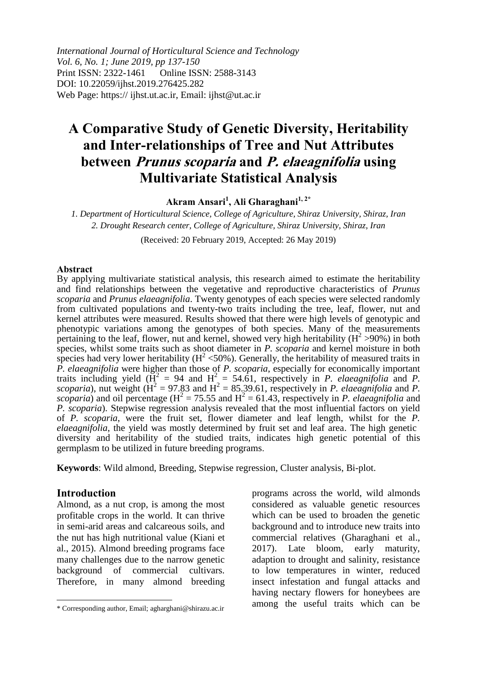*International Journal of Horticultural Science and Technology Vol. 6, No. 1; June 2019, pp 137-150* Print ISSN: 2322-1461 Online ISSN: 2588-3143 DOI: 10.22059/ijhst.2019.276425.282 Web Page: https:// ijhst.ut.ac.ir, Email: ijhst@ut.ac.ir

# **A Comparative Study of Genetic Diversity, Heritability and Inter-relationships of Tree and Nut Attributes between Prunus scoparia and P. elaeagnifolia using Multivariate Statistical Analysis**

**Akram Ansari<sup>1</sup> , Ali Gharaghani1, 2\***

*1. Department of Horticultural Science, College of Agriculture, Shiraz University, Shiraz, Iran 2. Drought Research center, College of Agriculture, Shiraz University, Shiraz, Iran*

(Received: 20 February 2019, Accepted: 26 May 2019)

#### **Abstract**

By applying multivariate statistical analysis, this research aimed to estimate the heritability and find relationships between the vegetative and reproductive characteristics of *Prunus scoparia* and *Prunus elaeagnifolia*. Twenty genotypes of each species were selected randomly from cultivated populations and twenty-two traits including the tree, leaf, flower, nut and kernel attributes were measured. Results showed that there were high levels of genotypic and phenotypic variations among the genotypes of both species. Many of the measurements pertaining to the leaf, flower, nut and kernel, showed very high heritability ( $H^2 > 90\%$ ) in both species, whilst some traits such as shoot diameter in *P. scoparia* and kernel moisture in both species had very lower heritability ( $H^2 < 50\%$ ). Generally, the heritability of measured traits in *P. elaeagnifolia* were higher than those of *P. scoparia*, especially for economically important traits including yield  $(\overrightarrow{H}^2 = 94$  and  $H^2 = 54.61$ , respectively in *P. elaeagnifolia* and *P.* scoparia), nut weight  $(H^2 = 97.83$  and  $H^2 = 85.39.61$ , respectively in *P. elaeagnifolia* and *P.*  $scoparia$ ) and oil percentage ( $H^2 = 75.55$  and  $H^2 = 61.43$ , respectively in *P. elaeagnifolia* and *P. scoparia*). Stepwise regression analysis revealed that the most influential factors on yield of *P. scoparia*, were the fruit set, flower diameter and leaf length, whilst for the *P. elaeagnifolia*, the yield was mostly determined by fruit set and leaf area. The high genetic diversity and heritability of the studied traits, indicates high genetic potential of this germplasm to be utilized in future breeding programs.

**Keywords**: Wild almond, Breeding, Stepwise regression, Cluster analysis, Bi-plot.

#### **Introduction**

 $\overline{\phantom{a}}$ 

Almond, as a nut crop, is among the most profitable crops in the world. It can thrive in semi-arid areas and calcareous soils, and the nut has high nutritional value (Kiani et al., 2015). Almond breeding programs face many challenges due to the narrow genetic background of commercial cultivars. Therefore, in many almond breeding

programs across the world, wild almonds considered as valuable genetic resources which can be used to broaden the genetic background and to introduce new traits into commercial relatives (Gharaghani et al., 2017). Late bloom, early maturity, adaption to drought and salinity, resistance to low temperatures in winter, reduced insect infestation and fungal attacks and having nectary flowers for honeybees are among the useful traits which can be

<sup>\*</sup> Corresponding author, Email; agharghani@shirazu.ac.ir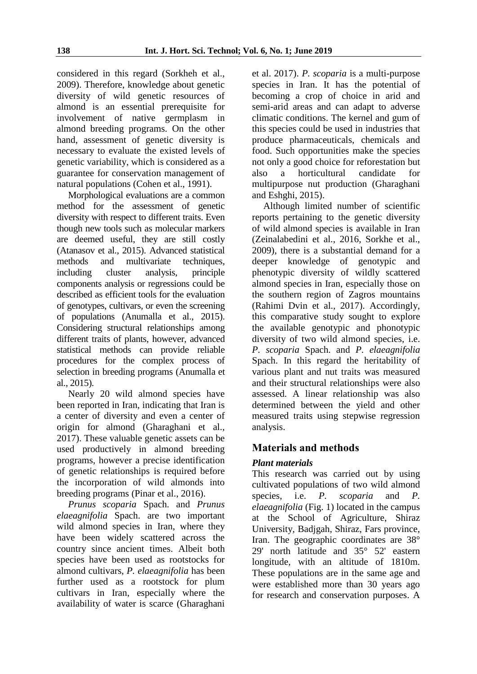considered in this regard (Sorkheh et al., 2009). Therefore, knowledge about genetic diversity of wild genetic resources of almond is an essential prerequisite for involvement of native germplasm in almond breeding programs. On the other hand, assessment of genetic diversity is necessary to evaluate the existed levels of genetic variability, which is considered as a guarantee for conservation management of natural populations (Cohen et al., 1991).

Morphological evaluations are a common method for the assessment of genetic diversity with respect to different traits. Even though new tools such as molecular markers are deemed useful, they are still costly (Atanasov et al., 2015). Advanced statistical methods and multivariate techniques, including cluster analysis, principle components analysis or regressions could be described as efficient tools for the evaluation of genotypes, cultivars, or even the screening of populations (Anumalla et al., 2015). Considering structural relationships among different traits of plants, however, advanced statistical methods can provide reliable procedures for the complex process of selection in breeding programs (Anumalla et al., 2015).

Nearly 20 wild almond species have been reported in Iran, indicating that Iran is a center of diversity and even a center of origin for almond (Gharaghani et al., 2017). These valuable genetic assets can be used productively in almond breeding programs, however a precise identification of genetic relationships is required before the incorporation of wild almonds into breeding programs (Pinar et al., 2016).

*Prunus scoparia* Spach. and *Prunus elaeagnifolia* Spach. are two important wild almond species in Iran, where they have been widely scattered across the country since ancient times. Albeit both species have been used as rootstocks for almond cultivars, *P. elaeagnifolia* has been further used as a rootstock for plum cultivars in Iran, especially where the availability of water is scarce (Gharaghani

et al. 2017). *P. scoparia* is a multi-purpose species in Iran. It has the potential of becoming a crop of choice in arid and semi-arid areas and can adapt to adverse climatic conditions. The kernel and gum of this species could be used in industries that produce pharmaceuticals, chemicals and food. Such opportunities make the species not only a good choice for reforestation but also a horticultural candidate for multipurpose nut production (Gharaghani and Eshghi, 2015).

Although limited number of scientific reports pertaining to the genetic diversity of wild almond species is available in Iran (Zeinalabedini et al., 2016, Sorkhe et al., 2009), there is a substantial demand for a deeper knowledge of genotypic and phenotypic diversity of wildly scattered almond species in Iran, especially those on the southern region of Zagros mountains (Rahimi Dvin et al., 2017). Accordingly, this comparative study sought to explore the available genotypic and phonotypic diversity of two wild almond species, i.e. *P. scoparia* Spach. and *P. elaeagnifolia*  Spach. In this regard the heritability of various plant and nut traits was measured and their structural relationships were also assessed. A linear relationship was also determined between the yield and other measured traits using stepwise regression analysis.

# **Materials and methods**

# *Plant materials*

This research was carried out by using cultivated populations of two wild almond species, i.e. *P. scoparia* and *P. elaeagnifolia* (Fig. 1) located in the campus at the School of Agriculture, Shiraz University, Badjgah, Shiraz, Fars province, Iran. The geographic coordinates are 38° 29' north latitude and 35° 52' eastern longitude, with an altitude of 1810m. These populations are in the same age and were established more than 30 years ago for research and conservation purposes. A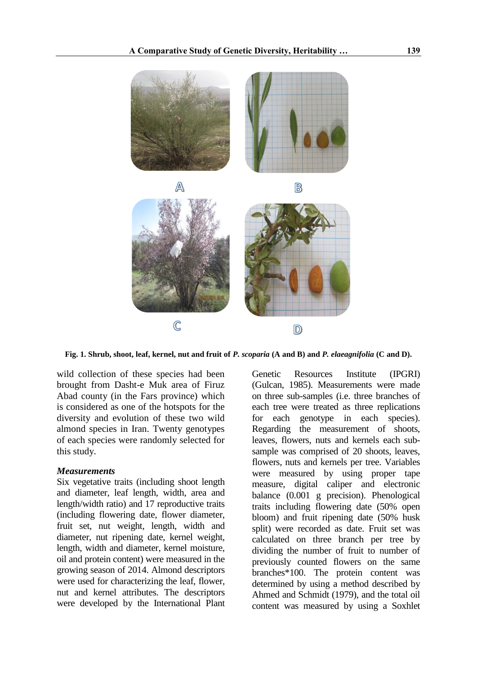

**Fig. 1. Shrub, shoot, leaf, kernel, nut and fruit of** *P. scoparia* **(A and B) and** *P. elaeagnifolia* **(C and D).**

wild collection of these species had been brought from Dasht-e Muk area of Firuz Abad county (in the Fars province) which is considered as one of the hotspots for the diversity and evolution of these two wild almond species in Iran. Twenty genotypes of each species were randomly selected for this study.

#### *Measurements*

Six vegetative traits (including shoot length and diameter, leaf length, width, area and length/width ratio) and 17 reproductive traits (including flowering date, flower diameter, fruit set, nut weight, length, width and diameter, nut ripening date, kernel weight, length, width and diameter, kernel moisture, oil and protein content) were measured in the growing season of 2014. Almond descriptors were used for characterizing the leaf, flower, nut and kernel attributes. The descriptors were developed by the International Plant

Genetic Resources Institute (IPGRI) (Gulcan, 1985). Measurements were made on three sub-samples (i.e. three branches of each tree were treated as three replications for each genotype in each species). Regarding the measurement of shoots, leaves, flowers, nuts and kernels each subsample was comprised of 20 shoots, leaves, flowers, nuts and kernels per tree. Variables were measured by using proper tape measure, digital caliper and electronic balance (0.001 g precision). Phenological traits including flowering date (50% open bloom) and fruit ripening date (50% husk split) were recorded as date. Fruit set was calculated on three branch per tree by dividing the number of fruit to number of previously counted flowers on the same branches\*100. The protein content was determined by using a method described by Ahmed and Schmidt (1979), and the total oil content was measured by using a Soxhlet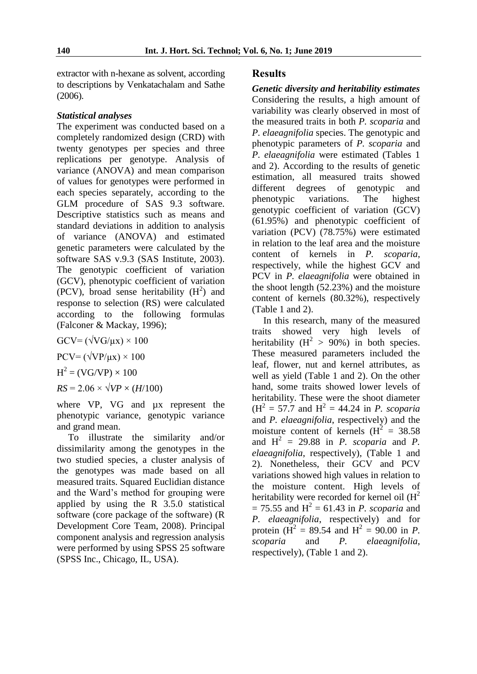extractor with n-hexane as solvent, according to descriptions by Venkatachalam and Sathe (2006).

## *Statistical analyses*

The experiment was conducted based on a completely randomized design (CRD) with twenty genotypes per species and three replications per genotype. Analysis of variance (ANOVA) and mean comparison of values for genotypes were performed in each species separately, according to the GLM procedure of SAS 9.3 software. Descriptive statistics such as means and standard deviations in addition to analysis of variance (ANOVA) and estimated genetic parameters were calculated by the software SAS v.9.3 (SAS Institute, 2003). The genotypic coefficient of variation (GCV), phenotypic coefficient of variation  $(PCV)$ , broad sense heritability  $(H<sup>2</sup>)$  and response to selection (RS) were calculated according to the following formulas (Falconer & Mackay, 1996);

 $GCV = (\sqrt{VG/\mu x}) \times 100$  $PCV = (\sqrt{VP/\mu x}) \times 100$  $H^2 = (VG/VP) \times 100$ 

 $RS = 2.06 \times \sqrt{VP} \times (H/100)$ 

where VP, VG and  $\mu$ x represent the phenotypic variance, genotypic variance and grand mean.

To illustrate the similarity and/or dissimilarity among the genotypes in the two studied species, a cluster analysis of the genotypes was made based on all measured traits. Squared Euclidian distance and the Ward's method for grouping were applied by using the R 3.5.0 statistical software (core package of the software) (R Development Core Team, 2008). Principal component analysis and regression analysis were performed by using SPSS 25 software (SPSS Inc., Chicago, IL, USA).

## **Results**

*Genetic diversity and heritability estimates* Considering the results, a high amount of variability was clearly observed in most of the measured traits in both *P. scoparia* and *P. elaeagnifolia* species. The genotypic and phenotypic parameters of *P. scoparia* and *P. elaeagnifolia* were estimated (Tables 1 and 2). According to the results of genetic estimation, all measured traits showed different degrees of genotypic and phenotypic variations. The highest genotypic coefficient of variation (GCV) (61.95%) and phenotypic coefficient of variation (PCV) (78.75%) were estimated in relation to the leaf area and the moisture content of kernels in *P. scoparia*, respectively, while the highest GCV and PCV in *P. elaeagnifolia* were obtained in the shoot length (52.23%) and the moisture content of kernels (80.32%), respectively (Table 1 and 2).

In this research, many of the measured traits showed very high levels of heritability ( $H^2 > 90\%$ ) in both species. These measured parameters included the leaf, flower, nut and kernel attributes, as well as yield (Table 1 and 2). On the other hand, some traits showed lower levels of heritability. These were the shoot diameter  $(H<sup>2</sup> = 57.7$  and  $H<sup>2</sup> = 44.24$  in *P. scoparia* and *P. elaeagnifolia*, respectively) and the moisture content of kernels  $(H<sup>2</sup> = 38.58)$ and  $H^2 = 29.88$  in *P. scoparia* and *P. elaeagnifolia*, respectively), (Table 1 and 2). Nonetheless, their GCV and PCV variations showed high values in relation to the moisture content. High levels of heritability were recorded for kernel oil  $(H^2)$  $= 75.55$  and  $H^2 = 61.43$  in *P. scoparia* and *P. elaeagnifolia*, respectively) and for protein ( $\overrightarrow{H}^2 = 89.54$  and  $\overrightarrow{H}^2 = 90.00$  in *P*. *scoparia* and *P. elaeagnifolia*, respectively), (Table 1 and 2).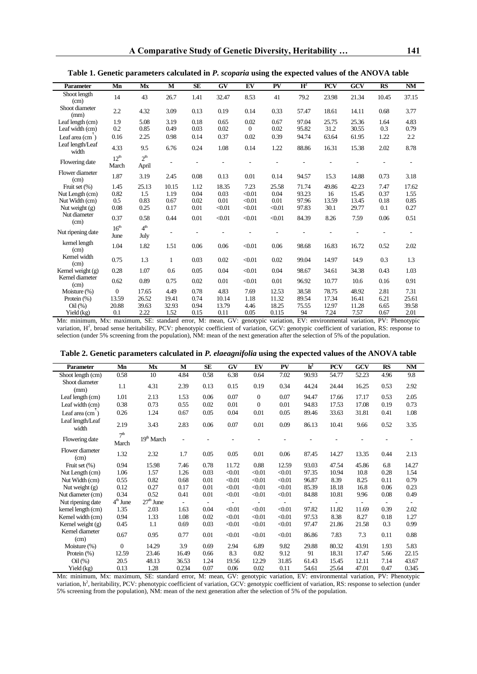| <b>Parameter</b>          | Mn                        | Mx                       | M     | <b>SE</b> | GV     | EV       | PV     | $H^2$ | <b>PCV</b> | GCV   | <b>RS</b> | <b>NM</b> |
|---------------------------|---------------------------|--------------------------|-------|-----------|--------|----------|--------|-------|------------|-------|-----------|-----------|
| Shoot length<br>(cm)      | 14                        | 43                       | 26.7  | 1.41      | 32.47  | 8.53     | 41     | 79.2  | 23.98      | 21.34 | 10.45     | 37.15     |
| Shoot diameter<br>(mm)    | 2.2                       | 4.32                     | 3.09  | 0.13      | 0.19   | 0.14     | 0.33   | 57.47 | 18.61      | 14.11 | 0.68      | 3.77      |
| Leaf length (cm)          | 1.9                       | 5.08                     | 3.19  | 0.18      | 0.65   | 0.02     | 0.67   | 97.04 | 25.75      | 25.36 | 1.64      | 4.83      |
| Leaf width (cm)           | 0.2                       | 0.85                     | 0.49  | 0.03      | 0.02   | $\theta$ | 0.02   | 95.82 | 31.2       | 30.55 | 0.3       | 0.79      |
| Leaf area $(cm)$          | 0.16                      | 2.25                     | 0.98  | 0.14      | 0.37   | 0.02     | 0.39   | 94.74 | 63.64      | 61.95 | 1.22      | 2.2       |
| Leaf length/Leaf<br>width | 4.33                      | 9.5                      | 6.76  | 0.24      | 1.08   | 0.14     | 1.22   | 88.86 | 16.31      | 15.38 | 2.02      | 8.78      |
| Flowering date            | 12 <sup>th</sup><br>March | 2 <sup>th</sup><br>April |       |           |        |          |        |       |            |       |           |           |
| Flower diameter<br>(cm)   | 1.87                      | 3.19                     | 2.45  | 0.08      | 0.13   | 0.01     | 0.14   | 94.57 | 15.3       | 14.88 | 0.73      | 3.18      |
| Fruit set (%)             | 1.45                      | 25.13                    | 10.15 | 1.12      | 18.35  | 7.23     | 25.58  | 71.74 | 49.86      | 42.23 | 7.47      | 17.62     |
| Nut Length (cm)           | 0.82                      | 1.5                      | 1.19  | 0.04      | 0.03   | < 0.01   | 0.04   | 93.23 | 16         | 15.45 | 0.37      | 1.55      |
| Nut Width (cm)            | 0.5                       | 0.83                     | 0.67  | 0.02      | 0.01   | < 0.01   | 0.01   | 97.96 | 13.59      | 13.45 | 0.18      | 0.85      |
| Nut weight $(g)$          | 0.08                      | 0.25                     | 0.17  | 0.01      | < 0.01 | < 0.01   | < 0.01 | 97.83 | 30.1       | 29.77 | 0.1       | 0.27      |
| Nut diameter<br>(cm)      | 0.37                      | 0.58                     | 0.44  | 0.01      | $0.01$ | < 0.01   | < 0.01 | 84.39 | 8.26       | 7.59  | 0.06      | 0.51      |
| Nut ripening date         | 16 <sup>th</sup>          | 4 <sup>th</sup>          |       |           |        |          |        |       |            |       |           |           |
|                           | June                      | July                     |       |           |        |          |        |       |            |       |           |           |
| kernel length<br>(cm)     | 1.04                      | 1.82                     | 1.51  | 0.06      | 0.06   | < 0.01   | 0.06   | 98.68 | 16.83      | 16.72 | 0.52      | 2.02      |
| Kernel width<br>(cm)      | 0.75                      | 1.3                      | 1     | 0.03      | 0.02   | < 0.01   | 0.02   | 99.04 | 14.97      | 14.9  | 0.3       | 1.3       |
| Kernel weight (g)         | 0.28                      | 1.07                     | 0.6   | 0.05      | 0.04   | < 0.01   | 0.04   | 98.67 | 34.61      | 34.38 | 0.43      | 1.03      |
| Kernel diameter<br>(cm)   | 0.62                      | 0.89                     | 0.75  | 0.02      | 0.01   | < 0.01   | 0.01   | 96.92 | 10.77      | 10.6  | 0.16      | 0.91      |
| Moisture (%)              | $\mathbf{0}$              | 17.65                    | 4.49  | 0.78      | 4.83   | 7.69     | 12.53  | 38.58 | 78.75      | 48.92 | 2.81      | 7.31      |
| Protein $(\%)$            | 13.59                     | 26.52                    | 19.41 | 0.74      | 10.14  | 1.18     | 11.32  | 89.54 | 17.34      | 16.41 | 6.21      | 25.61     |
| Oil(%)                    | 20.88                     | 39.63                    | 32.93 | 0.94      | 13.79  | 4.46     | 18.25  | 75.55 | 12.97      | 11.28 | 6.65      | 39.58     |
| Yield (kg)                | 0.1                       | 2.22                     | 1.52  | 0.15      | 0.11   | 0.05     | 0.115  | 94    | 7.24       | 7.57  | 0.67      | 2.01      |

**Table 1. Genetic parameters calculated in** *P. scoparia* **using the expected values of the ANOVA table**

Mn: minimum, Mx: maximum, SE: standard error, M: mean, GV: genotypic variation, EV: environmental variation, PV: Phenotypic variation, H<sup>2</sup>, broad sense heritability, PCV: phenotypic coefficient of variation, GCV: genotypic coefficient of variation, RS: response to selection (under 5% screening from the population), NM: mean of the next generation after the selection of 5% of the population.

| Table 2. Genetic parameters calculated in P. elaeagnifolia using the expected values of the ANOVA table |  |  |  |
|---------------------------------------------------------------------------------------------------------|--|--|--|
|                                                                                                         |  |  |  |

| <b>Parameter</b>          | Mn                       | Mx          | M     | <b>SE</b>                | <b>GV</b> | EV             | PV     | h <sup>2</sup> | <b>PCV</b> | GCV                      | <b>RS</b>                | <b>NM</b>                |
|---------------------------|--------------------------|-------------|-------|--------------------------|-----------|----------------|--------|----------------|------------|--------------------------|--------------------------|--------------------------|
| Shoot length (cm)         | 0.58                     | 10          | 4.84  | 0.58                     | 6.38      | 0.64           | 7.02   | 90.93          | 54.77      | 52.23                    | 4.96                     | 9.8                      |
| Shoot diameter<br>(mm)    | 1.1                      | 4.31        | 2.39  | 0.13                     | 0.15      | 0.19           | 0.34   | 44.24          | 24.44      | 16.25                    | 0.53                     | 2.92                     |
| Leaf length (cm)          | 1.01                     | 2.13        | 1.53  | 0.06                     | 0.07      | $\mathbf{0}$   | 0.07   | 94.47          | 17.66      | 17.17                    | 0.53                     | 2.05                     |
| Leaf width (cm)           | 0.38                     | 0.73        | 0.55  | 0.02                     | 0.01      | $\overline{0}$ | 0.01   | 94.83          | 17.53      | 17.08                    | 0.19                     | 0.73                     |
| Leaf area (cm)            | 0.26                     | 1.24        | 0.67  | 0.05                     | 0.04      | 0.01           | 0.05   | 89.46          | 33.63      | 31.81                    | 0.41                     | 1.08                     |
| Leaf length/Leaf<br>width | 2.19                     | 3.43        | 2.83  | 0.06                     | 0.07      | 0.01           | 0.09   | 86.13          | 10.41      | 9.66                     | 0.52                     | 3.35                     |
| Flowering date            | 7 <sup>th</sup><br>March | 19th March  |       |                          |           |                |        |                |            |                          |                          | ٠                        |
| Flower diameter<br>(cm)   | 1.32                     | 2.32        | 1.7   | 0.05                     | 0.05      | 0.01           | 0.06   | 87.45          | 14.27      | 13.35                    | 0.44                     | 2.13                     |
| Fruit set (%)             | 0.94                     | 15.98       | 7.46  | 0.78                     | 11.72     | 0.88           | 12.59  | 93.03          | 47.54      | 45.86                    | 6.8                      | 14.27                    |
| Nut Length (cm)           | 1.06                     | 1.57        | 1.26  | 0.03                     | < 0.01    | < 0.01         | < 0.01 | 97.35          | 10.94      | 10.8                     | 0.28                     | 1.54                     |
| Nut Width (cm)            | 0.55                     | 0.82        | 0.68  | 0.01                     | < 0.01    | < 0.01         | < 0.01 | 96.87          | 8.39       | 8.25                     | 0.11                     | 0.79                     |
| Nut weight $(g)$          | 0.12                     | 0.27        | 0.17  | 0.01                     | < 0.01    | < 0.01         | < 0.01 | 85.39          | 18.18      | 16.8                     | 0.06                     | 0.23                     |
| Nut diameter (cm)         | 0.34                     | 0.52        | 0.41  | 0.01                     | < 0.01    | < 0.01         | < 0.01 | 84.88          | 10.81      | 9.96                     | 0.08                     | 0.49                     |
| Nut ripening date         | $4th$ June               | $27th$ June |       | $\overline{\phantom{a}}$ |           |                |        |                |            | $\overline{\phantom{0}}$ | $\overline{\phantom{a}}$ | $\overline{\phantom{a}}$ |
| kernel length (cm)        | 1.35                     | 2.03        | 1.63  | 0.04                     | < 0.01    | < 0.01         | < 0.01 | 97.82          | 11.82      | 11.69                    | 0.39                     | 2.02                     |
| Kernel width (cm)         | 0.94                     | 1.33        | 1.08  | 0.02                     | < 0.01    | < 0.01         | < 0.01 | 97.53          | 8.38       | 8.27                     | 0.18                     | 1.27                     |
| Kernel weight (g)         | 0.45                     | 1.1         | 0.69  | 0.03                     | < 0.01    | < 0.01         | < 0.01 | 97.47          | 21.86      | 21.58                    | 0.3                      | 0.99                     |
| Kernel diameter<br>(cm)   | 0.67                     | 0.95        | 0.77  | 0.01                     | < 0.01    | < 0.01         | < 0.01 | 86.86          | 7.83       | 7.3                      | 0.11                     | 0.88                     |
| Moisture (%)              | $\mathbf{0}$             | 14.29       | 3.9   | 0.69                     | 2.94      | 6.89           | 9.82   | 29.88          | 80.32      | 43.91                    | 1.93                     | 5.83                     |
| Protein $(\%)$            | 12.59                    | 23.46       | 16.49 | 0.66                     | 8.3       | 0.82           | 9.12   | 91             | 18.31      | 17.47                    | 5.66                     | 22.15                    |
| Oil(%)                    | 20.5                     | 48.13       | 36.53 | 1.24                     | 19.56     | 12.29          | 31.85  | 61.43          | 15.45      | 12.11                    | 7.14                     | 43.67                    |
| Yield (kg)                | 0.13                     | 1.28        | 0.234 | 0.07                     | 0.06      | 0.02           | 0.11   | 54.61          | 25.64      | 47.01                    | 0.47                     | 0.345                    |

Mn: minimum, Mx: maximum, SE: standard error, M: mean, GV: genotypic variation, EV: environmental variation, PV: Phenotypic variation, h<sup>2</sup>, heritability, PCV: phenotypic coefficient of variation, GCV: genotypic coefficient of variation, RS: response to selection (under 5% screening from the population), NM: mean of the next generation after the selection of 5% of the population.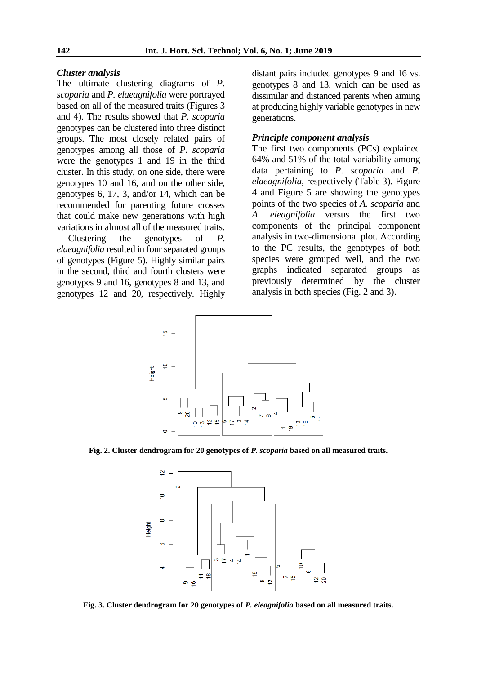#### *Cluster analysis*

The ultimate clustering diagrams of *P. scoparia* and *P. elaeagnifolia* were portrayed based on all of the measured traits (Figures 3 and 4). The results showed that *P. scoparia* genotypes can be clustered into three distinct groups. The most closely related pairs of genotypes among all those of *P. scoparia* were the genotypes 1 and 19 in the third cluster. In this study, on one side, there were genotypes 10 and 16, and on the other side, genotypes 6, 17, 3, and/or 14, which can be recommended for parenting future crosses that could make new generations with high variations in almost all of the measured traits.

Clustering the genotypes of *P*. *elaeagnifolia* resulted in four separated groups of genotypes (Figure 5). Highly similar pairs in the second, third and fourth clusters were genotypes 9 and 16, genotypes 8 and 13, and genotypes 12 and 20, respectively. Highly distant pairs included genotypes 9 and 16 vs. genotypes 8 and 13, which can be used as dissimilar and distanced parents when aiming at producing highly variable genotypes in new generations.

## *Principle component analysis*

The first two components (PCs) explained 64% and 51% of the total variability among data pertaining to *P. scoparia* and *P. elaeagnifolia*, respectively (Table 3). Figure 4 and Figure 5 are showing the genotypes points of the two species of *A. scoparia* and *A. eleagnifolia* versus the first two components of the principal component analysis in two-dimensional plot. According to the PC results, the genotypes of both species were grouped well, and the two graphs indicated separated groups as previously determined by the cluster analysis in both species (Fig. 2 and 3).



**Fig. 2. Cluster dendrogram for 20 genotypes of** *P. scoparia* **based on all measured traits.**



**Fig. 3. Cluster dendrogram for 20 genotypes of** *P. eleagnifolia* **based on all measured traits.**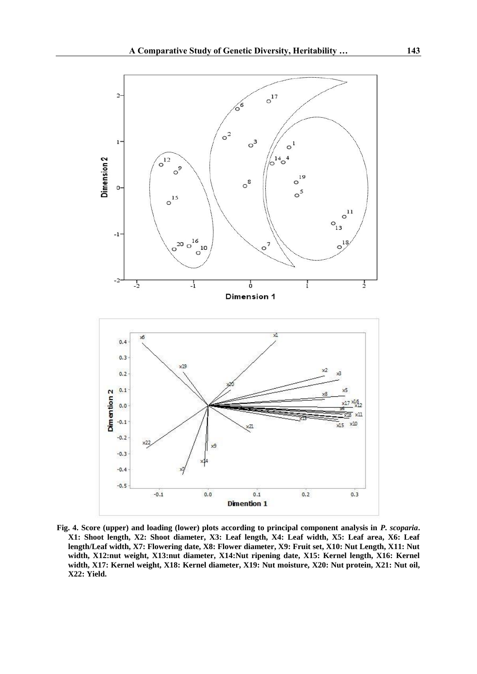

**Fig. 4. Score (upper) and loading (lower) plots according to principal component analysis in** *P. scoparia***. X1: Shoot length, X2: Shoot diameter, X3: Leaf length, X4: Leaf width, X5: Leaf area, X6: Leaf length/Leaf width, X7: Flowering date, X8: Flower diameter, X9: Fruit set, X10: Nut Length, X11: Nut**  width, X12:nut weight, X13:nut diameter, X14:Nut ripening date, X15: Kernel length, X16: Kernel **width, X17: Kernel weight, X18: Kernel diameter, X19: Nut moisture, X20: Nut protein, X21: Nut oil, X22: Yield.**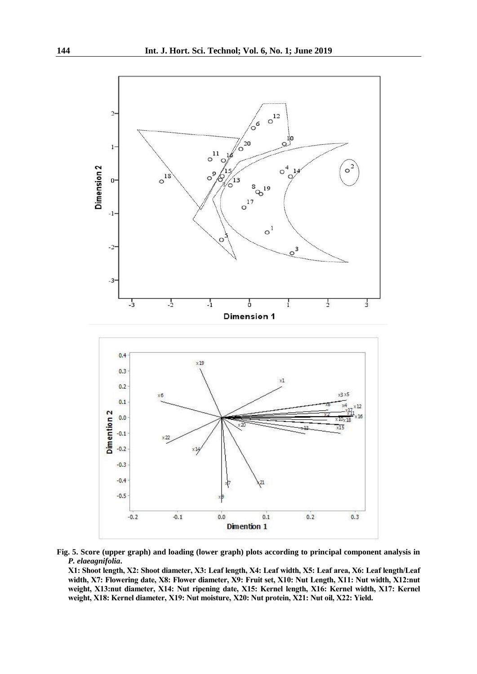

**Fig. 5. Score (upper graph) and loading (lower graph) plots according to principal component analysis in**  *P. elaeagnifolia***.**

**X1: Shoot length, X2: Shoot diameter, X3: Leaf length, X4: Leaf width, X5: Leaf area, X6: Leaf length/Leaf width, X7: Flowering date, X8: Flower diameter, X9: Fruit set, X10: Nut Length, X11: Nut width, X12:nut weight, X13:nut diameter, X14: Nut ripening date, X15: Kernel length, X16: Kernel width, X17: Kernel weight, X18: Kernel diameter, X19: Nut moisture, X20: Nut protein, X21: Nut oil, X22: Yield.**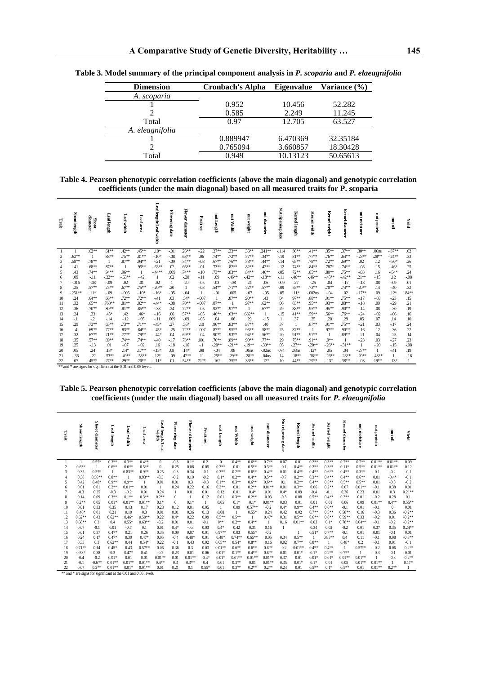| <b>Dimension</b> | <b>Cronbach's Alpha</b> | <b>Eigenvalue</b> | Variance (%) |
|------------------|-------------------------|-------------------|--------------|
| A. scoparia      |                         |                   |              |
|                  | 0.952                   | 10.456            | 52.282       |
|                  | 0.585                   | 2.249             | 11.245       |
| Total            | 0.97                    | 12.705            | 63.527       |
| A. eleagnifolia  |                         |                   |              |
|                  | 0.889947                | 6.470369          | 32.35184     |
|                  | 0.765094                | 3.660857          | 18.30428     |
| Total            | 0.949                   | 10.13123          | 50.65613     |

|  | Table 3. Model summary of the principal component analysis in P. scoparia and P. elaeagnifolia |  |  |  |  |  |
|--|------------------------------------------------------------------------------------------------|--|--|--|--|--|
|--|------------------------------------------------------------------------------------------------|--|--|--|--|--|

**Table 4. Pearson phenotypic correlation coefficients (above the main diagonal) and genotypic correlation coefficients (under the main diagonal) based on all measured traits for P. scoparia**

| Trait    | Shoot length                                                                                                                                                                                                                                                            | diameter<br><b>Shoot</b> | Leaf length       | Leaf width        | Leaf area          | Leaf length/Leaf width | <b>Flowering date</b> | <b>Flower diameter</b> | Fruitset        | nut Length        | Į<br>Width         | nut weight         | nut diameter        | š<br>ripening date | Kernel length                | Kernel<br>upia.     | <b>Kernel weight</b> | Kernel<br>diameter  | nut moisture       | Į<br>protein | nation        | Nield         |
|----------|-------------------------------------------------------------------------------------------------------------------------------------------------------------------------------------------------------------------------------------------------------------------------|--------------------------|-------------------|-------------------|--------------------|------------------------|-----------------------|------------------------|-----------------|-------------------|--------------------|--------------------|---------------------|--------------------|------------------------------|---------------------|----------------------|---------------------|--------------------|--------------|---------------|---------------|
| 1        | 1                                                                                                                                                                                                                                                                       | $.62**$                  | $.61**$           | $.42**$           | .45**              | $.10*$                 | $-.01$                | $.26**$                | $-22$           | $.27**$           | .33**              | $.36***$           | $.241**$            | $-114$             | $.30**$                      | $.41**$             | .35**                | $.37**$             | $.30**$            | .06ns        | $-37**$       | .02           |
| 2        | $.62**$                                                                                                                                                                                                                                                                 |                          | $.88**$           | $.75***$          | $.81**$            | $-.10*$                | $-.08$                | $.63***$               | .06             | $.74**$           | $.72**$            | $.77**$            | $.34**$             | $-19$              | $.81***$                     | .77**               | $.76**$              | $.64**$             | $-23**$            | $.28**$      | $-24**$       | .33           |
|          | 58**                                                                                                                                                                                                                                                                    | .78**                    | -1                | $.87**$           | .94**              | $-21$                  | $-0.09$               | $.74**$                | $-.08$          | $.67**$           | $.76***$           | .78**              | .44**               | $-14$              | $.65***$                     | .78**               | $.72**$              | $.69**$             | .02                | .12          | $-50*$        | .26           |
| 4        | .41                                                                                                                                                                                                                                                                     | .68**                    | $.87**$           | -1                | .95**              | $-63**$                | .02                   | $.66***$               | $-0.01$         | .73**             | $.82**$            | $.82**$            | $.42**$             | $-12$              | .74**                        | 84**                | .787*                | .74**               | $-08$              | .15          | $-46*$        | .25           |
| 5        | .43<br>.09                                                                                                                                                                                                                                                              | .74**                    | .94**<br>$-22**$  | .96**<br>$-63**$  | $-42$              | $-44**$<br>-1          | .009<br>.02           | $.74**$<br>$-20$       | $-.10$<br>$-11$ | 73**<br>.09       | $.83**$<br>$-46**$ | $.84**$<br>$-42**$ | $.46***$<br>$-18**$ | $-0.05$<br>$-11$   | $.72**$<br>$-46**$           | $.85***$<br>$-46**$ | $.80**$<br>$-45**$   | $.75***$<br>$-42**$ | $-0.03$<br>$21**$  | .16<br>$-15$ | $-54*$        | .24           |
| 6        | $-0.016$                                                                                                                                                                                                                                                                | $-11$<br>$-08$           | $-.09$            | .02               | .01                | .02                    |                       | .20                    | $-0.05$         | .03               | $-.08$             | .24                | .06                 | .009               | .27                          | $-25$               | .04                  | $-17$               | $-18$              | .08          | .12<br>$-.09$ | $-.08$<br>.01 |
| 8        | .25                                                                                                                                                                                                                                                                     | .57**                    | $.75***$          | $.67**$           | .75**              | $-20**$                | .20                   | -1                     | $-0.03$         | .54**             | $.71**$            | .72**              | .57**               | $-0.09$            | $.55***$                     | .73**               | $.70**$              | .74**               | $-20**$            | .14          | $-40$         | .32           |
| 9        | $-251**$                                                                                                                                                                                                                                                                | $.11*$                   | $-.09$            | $-.005$           | $-.10*$            | $-.16*$                | $-.05$                | $-.04$                 | 1               | $-0.01$           | .005               | $-.07$             | $-.05$              | $-0.05$            | $.11*$                       | $-.002ns$           | $-04$                | .02                 | $-17**$            | .09          | $.12*$        | $.84**$       |
| 10       | .24                                                                                                                                                                                                                                                                     | $.64**$                  | $.66***$          | $.72**$           | $.72**$            | $-41$                  | .03                   | $.54*$                 | $-.007$         | 1                 | $.87**$            | .90**              | 43                  | .04                | .97**                        | 88**                | .91**                | .75**               | $-17$              | $-0.03$      | $-23$         | .15           |
| 11       | .32                                                                                                                                                                                                                                                                     | $.65***$                 | .763**            | $.81**$           | $.82**$            | $-44*$                 | $-.08$                | $.70**$                | $-.007$         | $.87**$           | 1                  | .97**              | $.62**$             | .06                | $.83***$                     | .95**               | .93**                | $.88**$             | $-18$              | .09          | $-29$         | .21           |
| 12       | .36                                                                                                                                                                                                                                                                     | $.70**$                  | $.80**$           | $.81***$          | $.85***$           | $-38$                  | .24                   | $.72**$                | $-.05$          | .92**             | .97**              | 1                  | $.67**$             | .29                | $.88**$                      | .95**               | .95**                | .90**               | $-14$              | .08          | $-30$         | .19           |
| 13       | .24                                                                                                                                                                                                                                                                     | .33                      | .45*              | .42               | $.46*$             | $-16$                  | .06                   | $.57**$                | $-0.05$         | $.46***$          | $.63***$           | $.682**$           | -1                  | $-15$              | $.41**$                      | .59**               | $.56**$              | $.76***$            | $-24$              | $-0.02$      | $-.06$        | .16           |
| 14       | -.1                                                                                                                                                                                                                                                                     | $-2$                     | $-14$             | $-12$             | $-.05$             | $-11$                  | .009                  | $-0.09$                | $-0.05$         | .04               | .06                | .29                | $-15$               | $\mathbf{1}$       | .37                          | .25                 | .20                  | .29                 | .05                | .07          | .14           | .10           |
| 15       | .29                                                                                                                                                                                                                                                                     | .73**                    | $.65***$          | $.73***$          | $.71**$            | $-45*$                 | .27                   | .55*                   | .10             | .96**             | .83**              | $.87**$            | .40                 | .37                | -1                           | $.87**$             | .91**                | $.75***$            | $-21$              | .03          | $-.17$        | .24           |
| 16       | .4                                                                                                                                                                                                                                                                      | $.69**$                  | $.77**$           | $.83**$           | $.84**$            | $-45*$                 | $-25$                 | $.72**$                | $-.007$         | .87**             | .95**              | .95**              | .58**               | .25                | $.87**$                      |                     | .97**                | $.90**$             | $-16$              | .12          | $-36$         | .22           |
| 17       | .32                                                                                                                                                                                                                                                                     | $.67**$                  | $.71**$           | $.77**$           | .79**              | $-44*$                 | .04                   | $.69***$               | $-0.04$         | .90**             | .93**              | .94**              | $.56**$             | .20                | $.91***$                     | .97**               | 1                    | .89**               | $-21$              | .04          | $-25$         | .14           |
| 18       | .35                                                                                                                                                                                                                                                                     | .57**                    | .69**             | .74**             | .74**              | $-.40$                 | $-17$                 | $.73**$                | .001            | .76**             | .89**              | .90**              | $.77**$             | .29                | $.75***$                     | .91**               | $.9**$               |                     | $-23$              | .03          | $-27$         | .23           |
| 19       | .25                                                                                                                                                                                                                                                                     | $-13$                    | .01               | $-.07$            | $-.02$             | .16                    | $-18$                 | $-16$                  | $-.1$           | $-20**$           | $-21**$            | $-19**$            | $-30**$             | .05                | $-27**$                      | $-20**$             | $-26**$              | $-31**$             |                    | $-20$        | $-15$         | $-.08$        |
| 20<br>21 | .05<br>$-36$                                                                                                                                                                                                                                                            | .24<br>$-22$             | $.13*$<br>$-53**$ | $.14*$<br>$-49**$ | $.17**$<br>$-58**$ | $-.15*$<br>$.12*$      | .08<br>$-0.09$        | $.14*$<br>$-42**$      | .08<br>.11      | $-.04$<br>$-25**$ | .08<br>$-29**$     | .06ns<br>$-28**$   | $-02ns$<br>$-04ns$  | .074               | .03 <sub>ns</sub><br>$-18**$ | $.12*$<br>$-38**$   | .05<br>$-26**$       | .04<br>$-28**$      | $-27**$<br>$-20**$ | 1<br>$-43**$ | $-41$         | .19<br>$-16$  |
| 22       | .07                                                                                                                                                                                                                                                                     | 45**                     | $.27**$           | $.29**$           | $.20**$            | $-.11*$                | .01                   | $.54**$                | $.71**$         | $.16*$            | $.35***$           | $.36***$           | $.12*$              | .14<br>.10         | $.44**$                      | $.29**$             | $.13*$               | $.38**$             | $-.03$             | $.19**$      | $-13*$        |               |
|          |                                                                                                                                                                                                                                                                         |                          |                   |                   |                    |                        |                       |                        |                 |                   |                    |                    |                     |                    |                              |                     |                      |                     |                    |              |               |               |
|          | ** and * are signs for significant at the 0.01 and 0.05 levels.<br>Table 5. Pearson phenotypic correlation coefficients (above the main diagonal) and genotypic correlation<br>coefficients (under the main diagonal) based on all measured traits for P. elaeagnifolia |                          |                   |                   |                    |                        |                       |                        |                 |                   |                    |                    |                     |                    |                              |                     |                      |                     |                    |              |               |               |

**Table 5. Pearson phenotypic correlation coefficients (above the main diagonal) and genotypic correlation** 

| Trait  | Shoot length                                                    | <b>Shoot</b><br>diameter | Leaf<br>mgm       | Leaf<br>endth      | Leaf<br>Bare    | Leaf<br>length/Leaf<br>width | Flowering<br>date        | <b>Flowe</b><br>н<br>diameter | Pruit,<br>set        | Į<br>Length  | Ē,<br>Width     | H<br>weight       | nut diameter     | š<br>Þ<br>pening date | Ker<br>불<br>ength | Kernel<br>width   | Kernel<br>weight | Kernel<br>diameter | H<br><b>DATA STORE</b> | H<br>motein    | L<br>g.        | Yield           |
|--------|-----------------------------------------------------------------|--------------------------|-------------------|--------------------|-----------------|------------------------------|--------------------------|-------------------------------|----------------------|--------------|-----------------|-------------------|------------------|-----------------------|-------------------|-------------------|------------------|--------------------|------------------------|----------------|----------------|-----------------|
|        |                                                                 | $0.55*$                  | $0.3**$           | $0.3***$           | $0.4**$         | $\mathbf{0}$                 | $-0.3$                   | $0.1*$                        | 0.2                  | $\theta$     | $0.4**$         | $0.6**$           | $0.7**$          | 0.07                  | 0.01              | $0.2**$           | $0.3**$          | $0.7**$            | $0.7**$                | $0.01**$       | $0.01**$       | 0.09            |
| 2      | $0.6**$                                                         |                          | $0.6***$          | $0.6***$           | $0.5**$         | $\theta$                     | 0.25                     | 0.08                          | 0.05                 | $0.3**$      | 0.01            | $0.5**$           | $0.3**$          | $-0.1$                | $0.4**$           | $0.2**$           | $0.3**$          | $0.11*$            | $0.5**$                | $0.01**$       | $0.01**$       | 0.12            |
| 3      | 0.35                                                            | $0.55*$                  | -1                | $0.83**$           | $0.9**$         | 0.25                         | $-0.3$                   | 0.34                          | $-0.1$               | $0.3**$      | $0.2**$         | $0.6**$           | $0.4**$          | 0.01                  | $0.4**$           | $0.4**$           | $0.6**$          | $0.4**$            | $0.3**$                | $-0.1$         | $-0.2$         | $-0.1$          |
|        | 0.38                                                            | $0.56**$                 | $0.8**$           |                    | $0.93**$        | $-0.3$                       | $-0.2$                   | 0.19                          | $-0.2$               | $0.1*$       | $0.2**$         | $0.4**$           | $0.5**$          | $-0.7$                | $0.2**$           | $0.3**$           | $0.4**$          | $0.4**$            | $0.6***$               | 0.01           | $-0.4*$        | $-0.1$          |
| 5      | 0.42                                                            | $0.48*$                  | $0.9**$           | $0.9**$            | $\mathbf{1}$    | 0.01                         | 0.01                     | 0.3                           | $-0.3$               | $0.1***$     | $0.3**$         | $0.6**$           | $0.6**$          | 0.1                   | $0.2**$           | $0.4**$           | $0.5**$          | $0.5**$            | $0.5**$                | 0.01           | $-0.3$         | $-0.2$          |
| 6      | 0.01                                                            | 0.01                     | $0.2**$           | $0.01**$           | 0.01            | $\overline{1}$               | 0.24                     | 0.22                          | 0.16                 | $0.3**$      | 0.01            | $0.2**$           | $0.01**$         | 0.01                  | $0.3**$           | 0.06              | $0.2**$          | 0.07               | $0.01**$               | $-0.1$         | 0.38           | 0.01            |
|        | $-0.3$                                                          | 0.25                     | $-0.3$<br>$0.3**$ | $-0.2$<br>$0.1***$ | 0.01<br>$0.3**$ | 0.24<br>$0.2**$              | -1                       | 0.01                          | 0.01                 | 0.12         | 0.01<br>$0.3**$ | $0.4*$<br>$0.2**$ | 0.01             | $0.4*$                | 0.09              | $-0.4$<br>$0.5**$ | $-0.1$           | 0.36<br>$0.3**$    | 0.23                   | 0.01<br>$-0.2$ | 0.3<br>0.28    | $0.21**$        |
| 8<br>9 | 0.14<br>$0.2**$                                                 | 0.09<br>0.05             | $0.01*$           | $0.01**$           | $0.01**$        | $0.1*$                       | $\mathbf{0}$<br>$\Omega$ | $0.1*$                        | 0.12<br>$\mathbf{1}$ | 0.01<br>0.05 | $0.1*$          | $0.1*$            | 0.03<br>$0.01**$ | $-0.3$<br>0.03        | 0.08<br>0.01      | 0.01              | $0.4**$<br>0.01  | 0.06               | 0.01<br>0.09           | $0.01**$       | $0.4**$        | 0.1<br>$0.55**$ |
| 10     | 0.01                                                            | 0.33                     | 0.35              | 0.13               | 0.17            | 0.28                         | 0.12                     | 0.01                          | 0.05                 | $\mathbf{1}$ | 0.09            | $0.57**$          | $-0.2$           | $0.4*$                | $0.9**$           | $0.4**$           | $0.6**$          | $-0.1$             | 0.01                   | $-0.1$         | $\mathbf{0}$   | 0.01            |
| 11     | $0.46*$                                                         | 0.01                     | 0.21              | 0.19               | 0.3             | 0.01                         | 0.01                     | 0.36                          | 0.13                 | 0.08         | -1              | $0.55*$           | 0.24             | 0.42                  | 0.02              | $0.7**$           | $0.5**$          | $0.58**$           | 0.16                   | $-0.3$         | 0.36           | $-0.2**$        |
| 12     | $0.62**$                                                        | 0.43                     | $0.62**$          | $0.46*$            | $0.59**$        | 0.22                         | $0.4*$                   | 0.22                          | 0.09                 | $0.5**$      | $0.5**$         | $\overline{1}$    | $0.47*$          | 0.31                  | $0.5**$           | $0.6***$          | $0.8**$          | $0.59**$           | 0.33                   | $-0.2$         | 0.01           | $-0.2**$        |
| 13     | $0.68**$                                                        | 0.3                      | 0.4               | $0.55*$            | $0.63**$        | $-0.2$                       | 0.01                     | 0.01                          | $-0.1$               | $0***$       | $0.2**$         | $0.4**$           | $\mathbf{1}$     | 0.16                  | $0.01**$          | 0.03              | $0.1*$           | $0.78**$           | $0.64**$               | $-0.1$         | $-0.2$         | $-0.2**$        |
| 14     | 0.07                                                            | $-0.1$                   | 0.01              | $-0.7$             | 0.1             | 0.01                         | $0.4*$                   | $-0.3$                        | 0.03                 | $0.4*$       | 0.42            | 0.31              | 0.16             | $\overline{1}$        |                   | 0.34              | 0.02             | $-0.2$             | 0.01                   | 0.37           | 0.35           | $0.24**$        |
| 15     | 0.01                                                            | 0.37                     | $0.47*$           | 0.21               | 0.26            | 0.35                         | 0.09                     | 0.07                          | 0.01                 | $0.97**$     | 0.03            | $0.55*$           | $-0.2$           |                       | $\overline{1}$    | $0.51*$           | $0.7**$          | $-0.1$             | 0.01                   | 0.01           | $-0.1$         | 0.01            |
| 16     | 0.24                                                            | 0.17                     | $0.47*$           | 0.39               | $0.47*$         | 0.05                         | $-0.4$                   | $0.48*$                       | 0.01                 | $0.48*$      | $0.74**$        | $0.65***$         | 0.05             | 0.34                  | $0.5**$           | $\overline{1}$    | $0.85**$         | 0.4                | 0.11                   | $-0.1$         | 0.08           | $-0.3**$        |
| 17     | 0.33                                                            | 0.3                      | $0.62**$          | 0.44               | $0.54*$         | 0.22                         | $-0.1$                   | 0.43                          | 0.02                 | $0.65**$     | $0.54*$         | $0.8**$           | 0.16             | 0.02                  | $0.7**$           | $0.8**$           | 1                | $0.48*$            | 0.2                    | $-0.1$         | 0.01           | $-0.1$          |
| 18     | $0.71**$                                                        | 0.14                     | $0.45*$           | 0.43               | $0.57**$        | 0.06                         | 0.36                     | 0.3                           | 0.03                 | $0.01**$     | $0.6***$        | $0.6**$           | $0.8**$          | $-0.2$                | $0.01**$          | $0.4**$           | $0.4**$          | $\overline{1}$     | $0.57**$               | $-0.2$         | 0.06           | $-0.2**$        |
| 19     | $0.53*$                                                         | 0.38                     | 0.3               | $0.47*$            | 0.41            | $-0.2$                       | 0.23                     | 0.01                          | 0.06                 | $0.01*$      | $0.1**$         | $0.4**$           | $0.8**$          | 0.01                  | $0.01*$           | $0.1*$            | $0.2**$          | $0.7**$            | $\overline{1}$         | $-0.3$         | $-0.1$         | 0.01            |
| 20     | $-0.4$                                                          | $-0.2$                   | $0.01*$           | 0.01               | 0.01            | $0.01**$                     | 0.01                     | $0.01**$                      | $-0.4*$              | $0.01*$      | $0.01**$        | $0.01**$          | $0.01**$         | 0.37                  | 0.01              | $0.01*$           | $0.01*$          | $0.01**$           | $0.01**$               | $\overline{1}$ | $-0.3$         | $-0.2**$        |
| 21     | $-0.1$                                                          | $-0.6**$                 | $0.01**$          | $0.01**$           | $0.01**$        | $0.4**$                      | 0.3                      | $0.3**$                       | 0.4                  | 0.01         | $0.3**$         | 0.01              | $0.01**$         | 0.35                  | $0.01*$           | $0.1*$            | 0.01             | 0.08               | $0.01**$               | $0.01**$       | $\overline{1}$ | $0.17*$         |
| 22     | 0.07                                                            | $0.2**$                  | $0.01**$          | $0.01*$            | $0.01**$        | 0.01                         | 0.21                     | 0.1                           | $0.55*$              | 0.01         | $0.3**$         | $0.2**$           | $0.2**$          | 0.24                  | 0.01              | $0.5***$          | $0.1*$           | $0.5**$            | 0.01                   | $0.01**$       | $0.2**$        |                 |
|        | ** and * are signs for significant at the 0.01 and 0.05 levels. |                          |                   |                    |                 |                              |                          |                               |                      |              |                 |                   |                  |                       |                   |                   |                  |                    |                        |                |                |                 |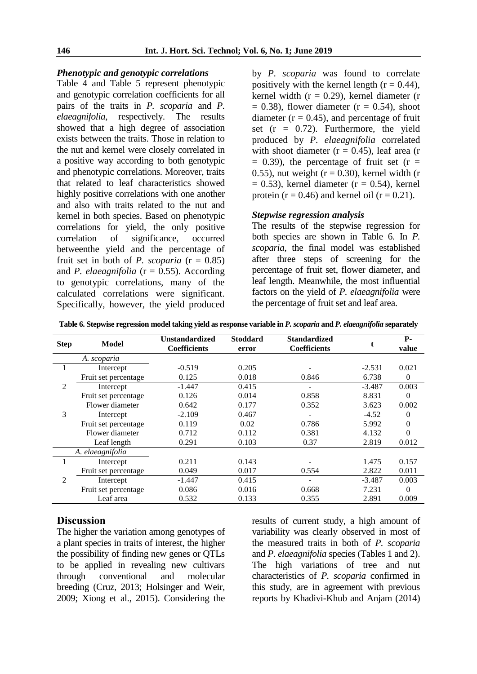## *Phenotypic and genotypic correlations*

Table 4 and Table 5 represent phenotypic and genotypic correlation coefficients for all pairs of the traits in *P. scoparia* and *P. elaeagnifolia*, respectively. The results showed that a high degree of association exists between the traits. Those in relation to the nut and kernel were closely correlated in a positive way according to both genotypic and phenotypic correlations. Moreover, traits that related to leaf characteristics showed highly positive correlations with one another and also with traits related to the nut and kernel in both species. Based on phenotypic correlations for yield, the only positive correlation of significance, occurred betweenthe yield and the percentage of fruit set in both of *P. scoparia*  $(r = 0.85)$ and *P. elaeagnifolia* ( $r = 0.55$ ). According to genotypic correlations, many of the calculated correlations were significant. Specifically, however, the yield produced

by *P. scoparia* was found to correlate positively with the kernel length  $(r = 0.44)$ , kernel width ( $r = 0.29$ ), kernel diameter (r  $= 0.38$ ), flower diameter ( $r = 0.54$ ), shoot diameter ( $r = 0.45$ ), and percentage of fruit set  $(r = 0.72)$ . Furthermore, the yield produced by *P. elaeagnifolia* correlated with shoot diameter  $(r = 0.45)$ , leaf area  $(r = 0.45)$  $= 0.39$ ), the percentage of fruit set (r  $=$ 0.55), nut weight ( $r = 0.30$ ), kernel width (r  $= 0.53$ ), kernel diameter (r  $= 0.54$ ), kernel protein ( $r = 0.46$ ) and kernel oil ( $r = 0.21$ ).

#### *Stepwise regression analysis*

The results of the stepwise regression for both species are shown in Table 6. In *P. scoparia*, the final model was established after three steps of screening for the percentage of fruit set, flower diameter, and leaf length. Meanwhile, the most influential factors on the yield of *P. elaeagnifolia* were the percentage of fruit set and leaf area.

**Table 6. Stepwise regression model taking yield as response variable in** *P. scoparia* **and** *P. elaeagnifolia* **separately**

| <b>Step</b>    | Model                | <b>Unstandardized</b><br><b>Coefficients</b> | <b>Stoddard</b><br>error | <b>Standardized</b><br><b>Coefficients</b> |          | P-<br>value |
|----------------|----------------------|----------------------------------------------|--------------------------|--------------------------------------------|----------|-------------|
|                | A. scoparia          |                                              |                          |                                            |          |             |
|                | Intercept            | $-0.519$                                     | 0.205                    |                                            | $-2.531$ | 0.021       |
|                | Fruit set percentage | 0.125                                        | 0.018                    | 0.846                                      | 6.738    | $\theta$    |
| 2              | Intercept            | $-1.447$                                     | 0.415                    |                                            | $-3.487$ | 0.003       |
|                | Fruit set percentage | 0.126                                        | 0.014                    | 0.858                                      | 8.831    | 0           |
|                | Flower diameter      | 0.642                                        | 0.177                    | 0.352                                      | 3.623    | 0.002       |
| 3              | Intercept            | $-2.109$                                     | 0.467                    |                                            | $-4.52$  | 0           |
|                | Fruit set percentage | 0.119                                        | 0.02                     | 0.786                                      | 5.992    | $\theta$    |
|                | Flower diameter      | 0.712                                        | 0.112                    | 0.381                                      | 4.132    | 0           |
|                | Leaf length          | 0.291                                        | 0.103                    | 0.37                                       | 2.819    | 0.012       |
|                | A. elaeagnifolia     |                                              |                          |                                            |          |             |
|                | Intercept            | 0.211                                        | 0.143                    |                                            | 1.475    | 0.157       |
|                | Fruit set percentage | 0.049                                        | 0.017                    | 0.554                                      | 2.822    | 0.011       |
| $\overline{2}$ | Intercept            | $-1.447$                                     | 0.415                    |                                            | $-3.487$ | 0.003       |
|                | Fruit set percentage | 0.086                                        | 0.016                    | 0.668                                      | 7.231    | $\Omega$    |
|                | Leaf area            | 0.532                                        | 0.133                    | 0.355                                      | 2.891    | 0.009       |

# **Discussion**

The higher the variation among genotypes of a plant species in traits of interest, the higher the possibility of finding new genes or QTLs to be applied in revealing new cultivars through conventional and molecular breeding (Cruz, 2013; Holsinger and Weir, 2009; Xiong et al., 2015). Considering the results of current study, a high amount of variability was clearly observed in most of the measured traits in both of *P. scoparia* and *P. elaeagnifolia* species (Tables 1 and 2). The high variations of tree and nut characteristics of *P. scoparia* confirmed in this study, are in agreement with previous reports by Khadivi-Khub and Anjam (2014)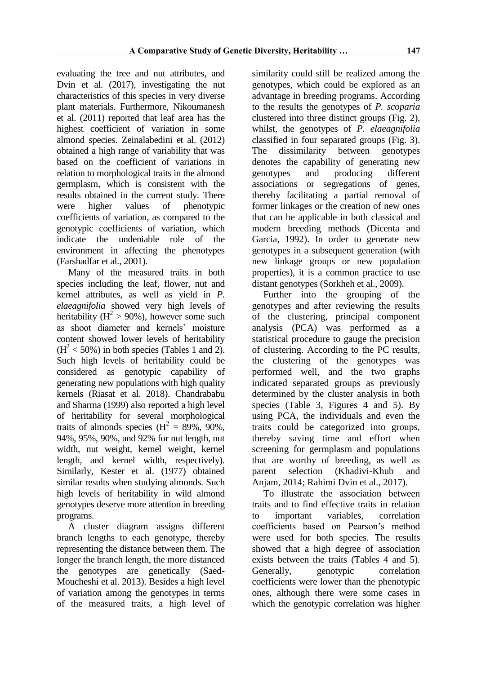evaluating the tree and nut attributes, and Dvin et al. (2017), investigating the nut characteristics of this species in very diverse plant materials. Furthermore, Nikoumanesh et al. (2011) reported that leaf area has the highest coefficient of variation in some almond species. Zeinalabedini et al. (2012) obtained a high range of variability that was based on the coefficient of variations in relation to morphological traits in the almond germplasm, which is consistent with the results obtained in the current study. There were higher values of phenotypic coefficients of variation, as compared to the genotypic coefficients of variation, which indicate the undeniable role of the environment in affecting the phenotypes (Farshadfar et al., 2001).

Many of the measured traits in both species including the leaf, flower, nut and kernel attributes, as well as yield in *P. elaeagnifolia* showed very high levels of heritability ( $H^2 > 90\%$ ), however some such as shoot diameter and kernels' moisture content showed lower levels of heritability  $(H<sup>2</sup> < 50%)$  in both species (Tables 1 and 2). Such high levels of heritability could be considered as genotypic capability of generating new populations with high quality kernels (Riasat et al. 2018). Chandrababu and Sharma (1999) also reported a high level of heritability for several morphological traits of almonds species  $(H^2 = 89\%, 90\%,$ 94%, 95%, 90%, and 92% for nut length, nut width, nut weight, kernel weight, kernel length, and kernel width, respectively). Similarly, Kester et al. (1977) obtained similar results when studying almonds. Such high levels of heritability in wild almond genotypes deserve more attention in breeding programs.

A cluster diagram assigns different branch lengths to each genotype, thereby representing the distance between them. The longer the branch length, the more distanced the genotypes are genetically (Saed-Moucheshi et al. 2013). Besides a high level of variation among the genotypes in terms of the measured traits, a high level of similarity could still be realized among the genotypes, which could be explored as an advantage in breeding programs. According to the results the genotypes of *P. scoparia* clustered into three distinct groups (Fig. 2), whilst, the genotypes of *P. elaeagnifolia* classified in four separated groups (Fig. 3). The dissimilarity between genotypes denotes the capability of generating new genotypes and producing different associations or segregations of genes, thereby facilitating a partial removal of former linkages or the creation of new ones that can be applicable in both classical and modern breeding methods (Dicenta and Garcia, 1992). In order to generate new genotypes in a subsequent generation (with new linkage groups or new population properties), it is a common practice to use distant genotypes (Sorkheh et al., 2009).

Further into the grouping of the genotypes and after reviewing the results of the clustering, principal component analysis (PCA) was performed as a statistical procedure to gauge the precision of clustering. According to the PC results, the clustering of the genotypes was performed well, and the two graphs indicated separated groups as previously determined by the cluster analysis in both species (Table 3, Figures 4 and 5). By using PCA, the individuals and even the traits could be categorized into groups, thereby saving time and effort when screening for germplasm and populations that are worthy of breeding, as well as parent selection (Khadivi-Khub and Anjam, 2014; Rahimi Dvin et al., 2017).

To illustrate the association between traits and to find effective traits in relation to important variables, correlation coefficients based on Pearson's method were used for both species. The results showed that a high degree of association exists between the traits (Tables 4 and 5). Generally, genotypic correlation coefficients were lower than the phenotypic ones, although there were some cases in which the genotypic correlation was higher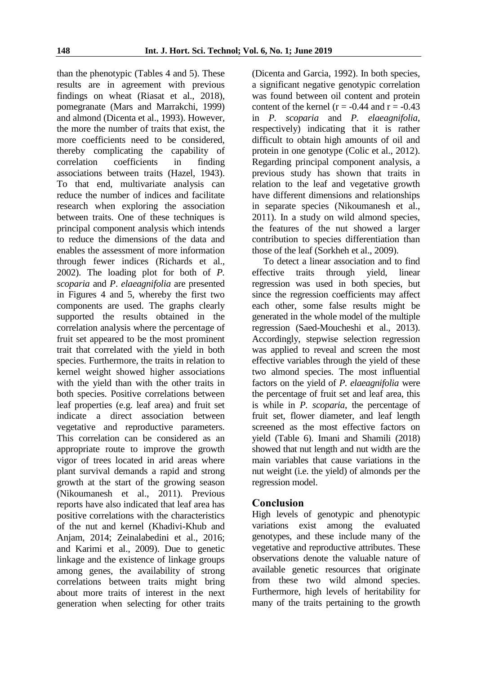than the phenotypic (Tables 4 and 5). These results are in agreement with previous findings on wheat (Riasat et al., 2018), pomegranate (Mars and Marrakchi, 1999) and almond (Dicenta et al., 1993). However, the more the number of traits that exist, the more coefficients need to be considered, thereby complicating the capability of correlation coefficients in finding associations between traits (Hazel, 1943). To that end, multivariate analysis can reduce the number of indices and facilitate research when exploring the association between traits. One of these techniques is principal component analysis which intends to reduce the dimensions of the data and enables the assessment of more information through fewer indices (Richards et al., 2002). The loading plot for both of *P. scoparia* and *P*. *elaeagnifolia* are presented in Figures 4 and 5, whereby the first two components are used. The graphs clearly supported the results obtained in the correlation analysis where the percentage of fruit set appeared to be the most prominent trait that correlated with the yield in both species. Furthermore, the traits in relation to kernel weight showed higher associations with the yield than with the other traits in both species. Positive correlations between leaf properties (e.g. leaf area) and fruit set indicate a direct association between vegetative and reproductive parameters. This correlation can be considered as an appropriate route to improve the growth vigor of trees located in arid areas where plant survival demands a rapid and strong growth at the start of the growing season (Nikoumanesh et al., 2011). Previous reports have also indicated that leaf area has positive correlations with the characteristics of the nut and kernel (Khadivi-Khub and Anjam, 2014; Zeinalabedini et al., 2016; and Karimi et al., 2009). Due to genetic linkage and the existence of linkage groups among genes, the availability of strong correlations between traits might bring about more traits of interest in the next generation when selecting for other traits

(Dicenta and Garcia, 1992). In both species, a significant negative genotypic correlation was found between oil content and protein content of the kernel ( $r = -0.44$  and  $r = -0.43$ ) in *P. scoparia* and *P. elaeagnifolia*, respectively) indicating that it is rather difficult to obtain high amounts of oil and protein in one genotype (Colic et al., 2012). Regarding principal component analysis, a previous study has shown that traits in relation to the leaf and vegetative growth have different dimensions and relationships in separate species (Nikoumanesh et al., 2011). In a study on wild almond species, the features of the nut showed a larger contribution to species differentiation than those of the leaf (Sorkheh et al., 2009).

To detect a linear association and to find effective traits through yield, linear regression was used in both species, but since the regression coefficients may affect each other, some false results might be generated in the whole model of the multiple regression (Saed-Moucheshi et al., 2013). Accordingly, stepwise selection regression was applied to reveal and screen the most effective variables through the yield of these two almond species. The most influential factors on the yield of *P. elaeagnifolia* were the percentage of fruit set and leaf area, this is while in *P. scoparia*, the percentage of fruit set, flower diameter, and leaf length screened as the most effective factors on yield (Table 6). Imani and Shamili (2018) showed that nut length and nut width are the main variables that cause variations in the nut weight (i.e. the yield) of almonds per the regression model.

## **Conclusion**

High levels of genotypic and phenotypic variations exist among the evaluated genotypes, and these include many of the vegetative and reproductive attributes. These observations denote the valuable nature of available genetic resources that originate from these two wild almond species. Furthermore, high levels of heritability for many of the traits pertaining to the growth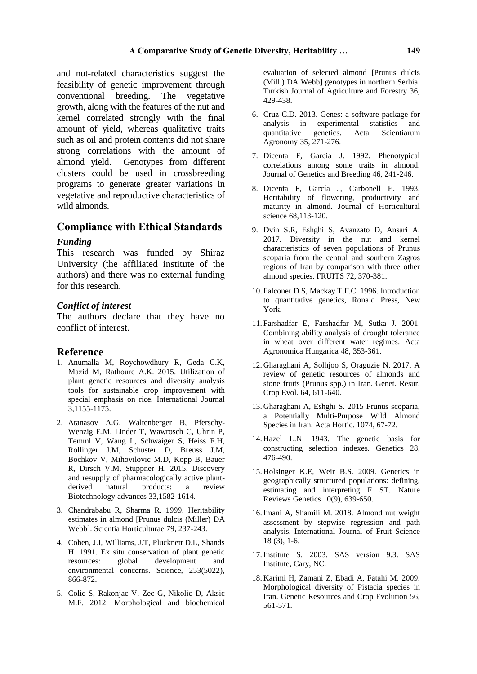and nut-related characteristics suggest the feasibility of genetic improvement through conventional breeding. The vegetative growth, along with the features of the nut and kernel correlated strongly with the final amount of yield, whereas qualitative traits such as oil and protein contents did not share strong correlations with the amount of almond yield. Genotypes from different clusters could be used in crossbreeding programs to generate greater variations in vegetative and reproductive characteristics of wild almonds.

## **Compliance with Ethical Standards**

#### *Funding*

This research was funded by Shiraz University (the affiliated institute of the authors) and there was no external funding for this research.

#### *Conflict of interest*

The authors declare that they have no conflict of interest.

#### **Reference**

- 1. Anumalla M, Roychowdhury R, Geda C.K, Mazid M, Rathoure A.K. 2015. Utilization of plant genetic resources and diversity analysis tools for sustainable crop improvement with special emphasis on rice. International Journal 3,1155-1175.
- 2. Atanasov A.G, Waltenberger B, Pferschy-Wenzig E.M, Linder T, Wawrosch C, Uhrin P, Temml V, Wang L, Schwaiger S, Heiss E.H, Rollinger J.M, Schuster D, Breuss J.M, Bochkov V, Mihovilovic M.D, Kopp B, Bauer R, Dirsch V.M, Stuppner H. 2015. Discovery and resupply of pharmacologically active plantderived natural products: a review Biotechnology advances 33,1582-1614.
- 3. Chandrababu R, Sharma R. 1999. Heritability estimates in almond [Prunus dulcis (Miller) DA Webb]. Scientia Horticulturae 79, 237-243.
- 4. Cohen, J.I, Williams, J.T, Plucknett D.L, Shands H. 1991. Ex situ conservation of plant genetic resources: global development and environmental concerns. Science, 253(5022), 866-872.
- 5. Colic S, Rakonjac V, Zec G, Nikolic D, Aksic M.F. 2012. Morphological and biochemical

evaluation of selected almond [Prunus dulcis (Mill.) DA Webb] genotypes in northern Serbia. Turkish Journal of Agriculture and Forestry 36, 429-438.

- 6. Cruz C.D. 2013. Genes: a software package for analysis in experimental statistics and quantitative genetics. Acta Scientiarum Agronomy 35, 271-276.
- 7. Dicenta F, Garcia J. 1992. Phenotypical correlations among some traits in almond. Journal of Genetics and Breeding 46, 241-246.
- 8. Dicenta F, García J, Carbonell E. 1993. Heritability of flowering, productivity and maturity in almond. Journal of Horticultural science 68,113-120.
- 9. Dvin S.R, Eshghi S, Avanzato D, Ansari A. 2017. Diversity in the nut and kernel characteristics of seven populations of Prunus scoparia from the central and southern Zagros regions of Iran by comparison with three other almond species. FRUITS 72, 370-381.
- 10. Falconer D.S, Mackay T.F.C. 1996. Introduction to quantitative genetics, Ronald Press, New York.
- 11. Farshadfar E, Farshadfar M, Sutka J. 2001. Combining ability analysis of drought tolerance in wheat over different water regimes. Acta Agronomica Hungarica 48, 353-361.
- 12. Gharaghani A, Solhjoo S, Oraguzie N. 2017. A review of genetic resources of almonds and stone fruits (Prunus spp.) in Iran. Genet. Resur. Crop Evol. 64, 611-640.
- 13. Gharaghani A, Eshghi S. 2015 Prunus scoparia, a Potentially Multi-Purpose Wild Almond Species in Iran. Acta Hortic. 1074, 67-72.
- 14. Hazel L.N. 1943. The genetic basis for constructing selection indexes. Genetics 28, 476-490.
- 15. Holsinger K.E, Weir B.S. 2009. Genetics in geographically structured populations: defining, estimating and interpreting F ST. Nature Reviews Genetics 10(9), 639-650.
- 16.Imani A, Shamili M. 2018. Almond nut weight assessment by stepwise regression and path analysis. International Journal of Fruit Science 18 (3), 1-6.
- 17.Institute S. 2003. SAS version 9.3. SAS Institute, Cary, NC.
- 18. Karimi H, Zamani Z, Ebadi A, Fatahi M. 2009. Morphological diversity of Pistacia species in Iran. Genetic Resources and Crop Evolution 56, 561-571.